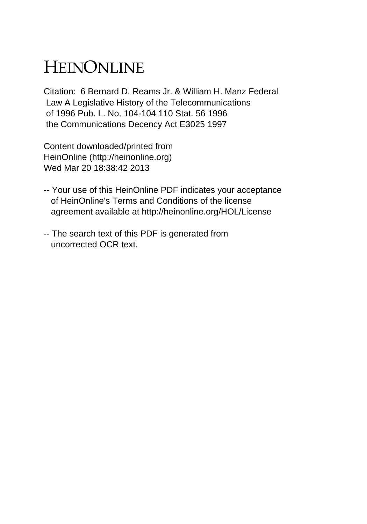## HEINONLINE

Citation: 6 Bernard D. Reams Jr. & William H. Manz Federal Law A Legislative History of the Telecommunications of 1996 Pub. L. No. 104-104 110 Stat. 56 1996 the Communications Decency Act E3025 1997

Content downloaded/printed from HeinOnline (http://heinonline.org) Wed Mar 20 18:38:42 2013

- -- Your use of this HeinOnline PDF indicates your acceptance of HeinOnline's Terms and Conditions of the license agreement available at http://heinonline.org/HOL/License
- -- The search text of this PDF is generated from uncorrected OCR text.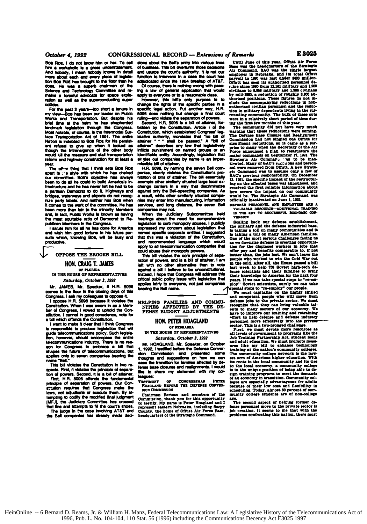October 4, 1992

Boe Roe, I do not know him or her. To call him a workaholto la a gross understatemer<br>And nobody, i mean nobody knows in det more about each and every piece of legisla-<br>Son Bos Ros has brought to the floor than he a. He was a superb chairman of dos **Science and Technology Committee and re**maine a forceful advocate for space suplo-<br>ration as well as the superconducting super  $00$ li-

For the past 2 years-too short a tenure in<br>by view-Boe has been our leader on Public my view-Works and Transportation. But despite his brief time at the helm he has shepherded ower unw as use new minimize the Congress.<br>Most notable, of course, is the Intermodal Sur-<br>face Transportation Act of 1991. The entire Nation is indebted to Bos Ros for his persistent refuse to Bos Ros for his persistent refused to Bos Ros for his persistent would kill the measure and stall transportation<br>reform and highway construction for at least a

The often thing that I think sets Boe Ros<br>apart is : e style with which he has chaired<br>our committee. Bos's objective has always been to do all he could to build America's frastructure and he has never felt he had to be a partisan Democrat to do it. Highways and is, waterways and alrports do not recogbririn structurely take the work of the committee. He has<br>hise party tabels. And neither has Bos when<br>it comes to the work of the minority Members and, in fact, Public Works is known as having the most equitable ratio of Democrat to Republican Members in the Congress.

I satute him for all he has done for America<br>and wish him good fortune in his future pursuits which, knowing Bos, will be busy and productive.

OPPOSE THE BROOKS BILL

HON. CRAIG T. JAMES OF FLORIDA

IN THE HOUSE OF REPRESENTATIVES Saturday, October 3, 1992

Mr. JAMES. Mr. Speaker, If H.R. 5096 as to the floor in the closing days of this

Congress, I ask my colleagues to oppose it.<br>I oppose H.R. 5096 because it violates the tution. When I was sworn in as a Member of Congress, I vowed to uphold the Constitution. I cannot in good conscience, vote for a bill which offends the Constitution.

I want to make it clear that I think Congress sponsible to produce legis la re lation th uide telecommunications policy. Such legislaguide unexummented processes the entire ÎШ ommunications industry. There is no reason for Congress to embrace a bill that<br>shapes the future of telecommunications, but applies only to seven companies bearing the

This bill violates the Constitution in two respects. First, it violates the principle of separa-<br>tion of powers. Second, it is a bill of attainer.

First, H.R. 5098 offends the fundamental<br>principle of separation of powers. Our Con-<br>stitution requires that Congress make the laws, not adjudicate or execute them. By attempting to codify the modified final judgment<br>[MFJ], the Judiciary Committee has crossed

that line and attempts to fill the court's shoes.<br>The judge in the case involving AT&T and<br>the Bell companies has already made deci-

alons about the Bell's entry into various lines<br>of business, This bill overturns those decisions and usurps the court's authority. It is not our function to Intervene in a case the court has adjudicated since the 1984 breakup of ATAT.

Of course, there is nothing wrong w lth or ing a law of general application that would<br>apply to everyone or to a reasonable class.

However, this bill's only purpose is to<br>change the rights of the specific parties in a specific legal action. Put another way, H.R. 5096 does nothing but change a final court<br>ruling—and violate the separation of powers.

Second, H.R. 5096 is a bill of at ner, for bidden by the Constitution. Article i of the<br>Constitution, which established Congress' legblative authority, mandates that "no bill of<br>attainer " " shall be passed." A "bill of<br>attainer" describes any law that legislatively attainer osetrates any tew transformation<br>inflicts punishment on named groups or an<br>identifiable entity. Accordingly, legislation that sir glee out companies by name is an impersible bill of attainer.

H.R. 5096, by naming the seven Bell com-<br>paries, clearly violates the Constitution's pro-<br>hibition of bills of attainer. The bill essentially exempts other similarly situated large local exchange carriers in a way that discriminates<br>against only the Bell-operating companies. As aysius cary while other similarly situated compa-<br>nies may enter into manufacturing, information<br>services, and long distance, the seven Bell companies may not.

When the Judiciary Subcommittee held<br>hearings about the need for comprehensive e, I publicly egislation to curb monopoly abuse expressed my concern about legislation that<br>named specific corporate entities. I auggested that this was a violation of the Constitution, and recommended language which would<br>apply to all telecommunication companies that could abuse their monopoly powers.

This bill violates the core principle of sepation of powers, and is a bill of attainer. I am left with no other alternative than to vote<br>against a bill I believe to be unconstitutional. Instead, I hope that Congress will address this critical public policy issue with legislation that applies fairly to everyone, not just companies bearing the Bell name.

HELPING FAMILIES AND COMMUNITTES AFFECTED BY THE DE-FENSE BUDGET ADJUSTMENTS

## HON. PETER HOAGLAND

OF NEBRASEA IN THE HOUSE OF REPRESENTATIVES

Saturday, October 3, 1992

Mr. HOAGLAND. Mr. Speaker, on October<br>1, 1992, I testified before the Defense Conver-1, 1992, I assumed centre the between side ones<br>shoughts and suggestions on how we can<br>ease the transition for families affected by defense base closures and realignments. I w male<sup>4</sup> like to share my statement with my colleagues:

**ESTIMONY OF CONGRESSMAN PETER**<br>HOAGLAND BEFORE THE DEFENSE CONVER-PETER SION COMMISSION

Chairman Berteau and members of the Commission, thank you for this opportunity Commusicial, tannis you tor une opportunity<br>to testify. My name is Peter Hongland and I<br>represent eastern Nebraska, including Sarpy<br>County, the home of Offutt Air Force Base,<br>headquarters of the Strategic Command.

The University of this year. Officia Air Porce<br>Base was the headquarters of the Strategic<br>Air Command. BAO was the single largest<br>employer in Nobraska, and its total Official<br>payroll in 1950 was just under M60 million.<br>Off rime since 1980 trom Hills military and 1,398 civilians to 6,958 military and 1,398 civilians by mid-1983, a reduction of roughly 3,000 authorized positions. These figures do not include other compared and the reductions rounding comm

rounding community. The bulk of these onts<br>have in a relatively short period of time during the first for months of this year.<br>The community did not have very much<br>warning that these reductions were coming.<br>The Defense Bas commission had not singled out Offert for<br>Commission had not singled out Offert for<br>significant reductions, so it came as smrt<br>prise to many when the Secretary of the Air<br>measurement of spins to restruct<br>travel the Secreta Commission had not singled out Offutt for how severe the impact on our community<br>would be. The Strategic Air Command was<br>officially inactivated on June 1, 1992.

DEFENSE PERSONNEL AND EMPLOYEES ARE A VALUABLE RESONNEL AND EMPLOYEES ARE A THE KET TO SUCCESSFUL BOONDERG CON-VERAION

Scaling back our defense establishme.<br>the military and the defense industrial ba the military and the defense industrial base, it is taking a toll on many communities and it<br>is taking a toll on many communities and it<br>the tasking a toll on many American families.<br>One of the most serious challenge facto better than, the jobs lost. We can't leave the<br>people who worked to win the Cold War out<br>in the cold. After all, the House passed a bill hast week to help 750 Soviet high-tech detheir knowledge to America for the next four years. If we can take special steps to "re Soviet scientists, surely we can take nlov.

special steps to "re-employ" our people.<br>We must capitalise on the highly skilled and competent people who will move from using post to the private sector. We must<br>have the recognise that they can bring valuable talents to many sectors of our economy. We<br>have to improve our training and retraining<br>except of the effort to help defense and defe persons in over effectively into the private<br>persons move effectively into the private<br>pector. This is a two-pronged challenge.<br>First, we must devote more resources at

russ, we must use the presented by the the channel into the channel into the state of government to programs like the like my hill to enhance technology training at the nation's community college The community college network is the large-<br>The community college network is the largest est arm of American higher education. With<br>the troots in the local community and its tries to the local concommunity college<br>is in in sign training programs to meet the demands of an economy in transition. Community color an economy in transition. Communications for addite<br>because of their low cost and flazibility in<br>cheduling. Today, almost 50 percent of community college students are of non-college age.

The second aspect of helping former de The personnel move to the private sector is<br>job creation. It seems to me that with the<br>problems confronting this nation, there must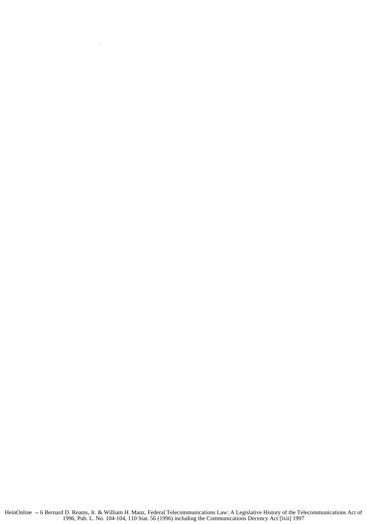HeinOnline -- 6 Bernard D. Reams, Jr. & William H. Manz, Federal Telecommunications Law: A Legislative History of the Telecommunications Act of 1996, Pub. L. No. 104-104, 110 Stat. 56 (1996) including the Communications Decency Act [lxii] 1997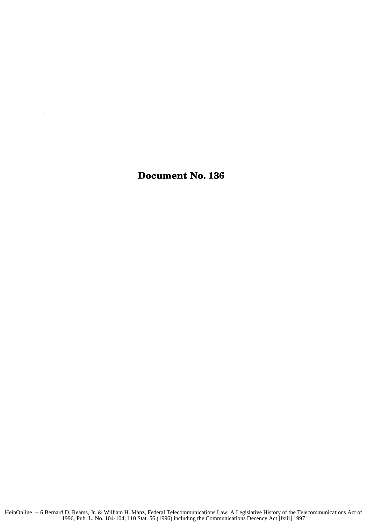Document No. **136**

 $\ddot{\phantom{a}}$ 

 $\hat{\boldsymbol{\theta}}$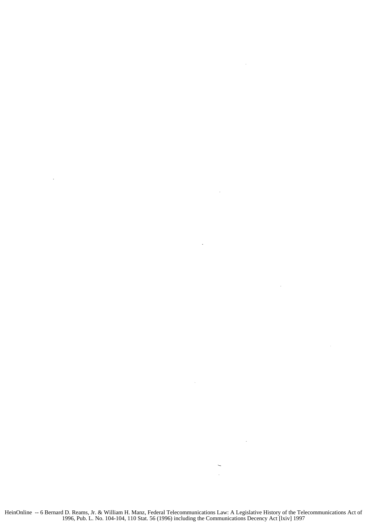HeinOnline -- 6 Bernard D. Reams, Jr. & William H. Manz, Federal Telecommunications Law: A Legislative History of the Telecommunications Act of 1996, Pub. L. No. 104-104, 110 Stat. 56 (1996) including the Communications Decency Act [lxiv] 1997

 $\bar{\mathcal{A}}$ 

 $\mathcal{L}_{\mathrm{c}}$ 

 $\mathcal{A}^{\mathcal{A}}$ 

 $\sim$ 

 $\sim$ 

 $\sim$ 

 $\mathcal{L}^{\text{max}}_{\text{max}}$ 

 $\overline{\phantom{a}}$ l.